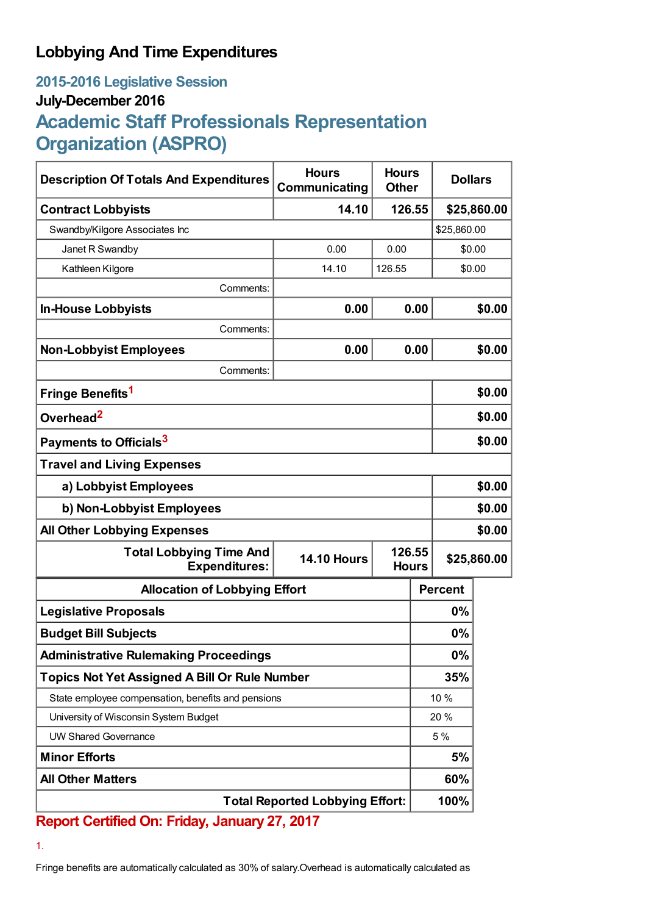## **Lobbying And Time Expenditures**

## **2015-2016 Legislative Session July-December 2016 Academic Staff Professionals Representation Organization (ASPRO)**

| <b>Description Of Totals And Expenditures</b>          | <b>Hours</b><br>Communicating | <b>Hours</b><br><b>Other</b> |        | <b>Dollars</b> |             |
|--------------------------------------------------------|-------------------------------|------------------------------|--------|----------------|-------------|
| <b>Contract Lobbyists</b>                              | 14.10                         |                              | 126.55 |                | \$25,860.00 |
| Swandby/Kilgore Associates Inc                         |                               |                              |        | \$25,860.00    |             |
| Janet R Swandby                                        | 0.00                          | 0.00                         |        | \$0.00         |             |
| Kathleen Kilgore                                       | 14.10                         | 126.55                       |        | \$0.00         |             |
| Comments:                                              |                               |                              |        |                |             |
| <b>In-House Lobbyists</b>                              | 0.00                          |                              | 0.00   |                | \$0.00      |
| Comments:                                              |                               |                              |        |                |             |
| <b>Non-Lobbyist Employees</b>                          | 0.00                          |                              | 0.00   |                | \$0.00      |
| Comments:                                              |                               |                              |        |                |             |
| Fringe Benefits <sup>1</sup>                           |                               |                              |        | \$0.00         |             |
| Overhead <sup>2</sup>                                  |                               |                              |        | \$0.00         |             |
| Payments to Officials <sup>3</sup>                     |                               |                              |        | \$0.00         |             |
| <b>Travel and Living Expenses</b>                      |                               |                              |        |                |             |
| a) Lobbyist Employees                                  |                               |                              |        | \$0.00         |             |
| b) Non-Lobbyist Employees                              |                               |                              |        | \$0.00         |             |
| <b>All Other Lobbying Expenses</b>                     |                               |                              |        |                | \$0.00      |
| <b>Total Lobbying Time And</b><br><b>Expenditures:</b> | <b>14.10 Hours</b>            | 126.55<br><b>Hours</b>       |        | \$25,860.00    |             |
| <b>Allocation of Lobbying Effort</b>                   |                               |                              |        | <b>Percent</b> |             |
| <b>Legislative Proposals</b>                           |                               |                              |        | $0\%$          |             |
| <b>Budget Bill Subjects</b>                            |                               |                              |        | 0%             |             |
| <b>Administrative Rulemaking Proceedings</b>           |                               |                              |        | 0%             |             |
| <b>Topics Not Yet Assigned A Bill Or Rule Number</b>   |                               |                              |        | 35%            |             |
| State employee compensation, benefits and pensions     |                               |                              |        | 10 %           |             |
| University of Wisconsin System Budget                  |                               |                              |        | 20 %           |             |
| <b>UW Shared Governance</b>                            |                               |                              |        | 5 %            |             |
| <b>Minor Efforts</b>                                   |                               |                              |        | 5%             |             |
| <b>All Other Matters</b>                               |                               |                              |        | 60%            |             |
| <b>Total Reported Lobbying Effort:</b>                 |                               |                              |        | 100%           |             |

## **Report Certified On: Friday, January 27, 2017**